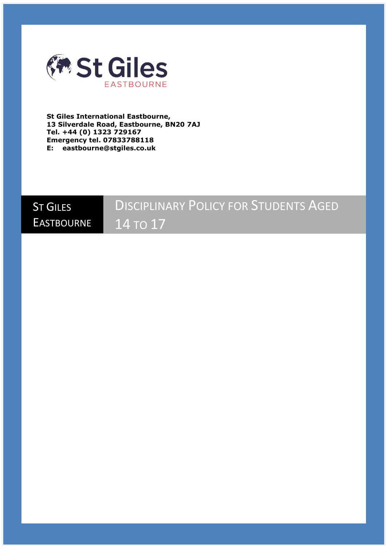

**St Giles International Eastbourne, 13 Silverdale Road, Eastbourne, BN20 7AJ Tel. +44 (0) 1323 729167 Emergency tel. 07833788118 E: eastbourne@stgiles.co.uk**

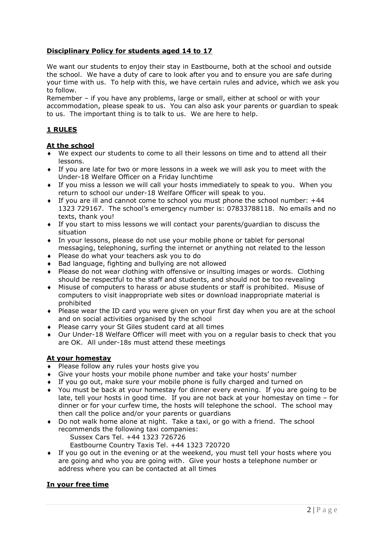# **Disciplinary Policy for students aged 14 to 17**

We want our students to enjoy their stay in Eastbourne, both at the school and outside the school. We have a duty of care to look after you and to ensure you are safe during your time with us. To help with this, we have certain rules and advice, which we ask you to follow.

Remember – if you have any problems, large or small, either at school or with your accommodation, please speak to us. You can also ask your parents or guardian to speak to us. The important thing is to talk to us. We are here to help.

# **1 RULES**

# **At the school**

- We expect our students to come to all their lessons on time and to attend all their lessons.
- If you are late for two or more lessons in a week we will ask you to meet with the Under-18 Welfare Officer on a Friday lunchtime
- If you miss a lesson we will call your hosts immediately to speak to you. When you return to school our under-18 Welfare Officer will speak to you.
- If you are ill and cannot come to school you must phone the school number: +44 1323 729167. The school's emergency number is: 07833788118. No emails and no texts, thank you!
- If you start to miss lessons we will contact your parents/guardian to discuss the situation
- In your lessons, please do not use your mobile phone or tablet for personal messaging, telephoning, surfing the internet or anything not related to the lesson
- ◆ Please do what your teachers ask you to do
- Bad language, fighting and bullying are not allowed
- Please do not wear clothing with offensive or insulting images or words. Clothing should be respectful to the staff and students, and should not be too revealing
- Misuse of computers to harass or abuse students or staff is prohibited. Misuse of computers to visit inappropriate web sites or download inappropriate material is prohibited
- Please wear the ID card you were given on your first day when you are at the school and on social activities organised by the school
- Please carry your St Giles student card at all times
- Our Under-18 Welfare Officer will meet with you on a regular basis to check that you are OK. All under-18s must attend these meetings

### **At your homestay**

- ◆ Please follow any rules your hosts give you
- Give your hosts your mobile phone number and take your hosts' number
- If you go out, make sure your mobile phone is fully charged and turned on
- You must be back at your homestay for dinner every evening. If you are going to be late, tell your hosts in good time. If you are not back at your homestay on time – for dinner or for your curfew time, the hosts will telephone the school. The school may then call the police and/or your parents or guardians
- Do not walk home alone at night. Take a taxi, or go with a friend. The school recommends the following taxi companies: Sussex Cars Tel. +44 1323 726726
	- Eastbourne Country Taxis Tel. +44 1323 720720
- If you go out in the evening or at the weekend, you must tell your hosts where you are going and who you are going with. Give your hosts a telephone number or address where you can be contacted at all times

# **In your free time**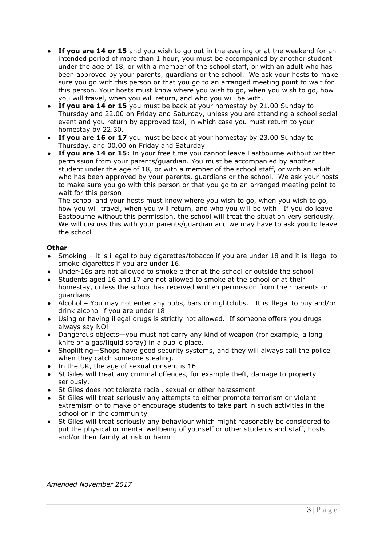- **If you are 14 or 15** and you wish to go out in the evening or at the weekend for an intended period of more than 1 hour, you must be accompanied by another student under the age of 18, or with a member of the school staff, or with an adult who has been approved by your parents, guardians or the school. We ask your hosts to make sure you go with this person or that you go to an arranged meeting point to wait for this person. Your hosts must know where you wish to go, when you wish to go, how you will travel, when you will return, and who you will be with.
- **If you are 14 or 15** you must be back at your homestay by 21.00 Sunday to Thursday and 22.00 on Friday and Saturday, unless you are attending a school social event and you return by approved taxi, in which case you must return to your homestay by 22.30.
- **If you are 16 or 17** you must be back at your homestay by 23.00 Sunday to Thursday, and 00.00 on Friday and Saturday
- **If you are 14 or 15:** In your free time you cannot leave Eastbourne without written permission from your parents/guardian. You must be accompanied by another student under the age of 18, or with a member of the school staff, or with an adult who has been approved by your parents, guardians or the school. We ask your hosts to make sure you go with this person or that you go to an arranged meeting point to wait for this person

The school and your hosts must know where you wish to go, when you wish to go, how you will travel, when you will return, and who you will be with. If you do leave Eastbourne without this permission, the school will treat the situation very seriously. We will discuss this with your parents/guardian and we may have to ask you to leave the school

# **Other**

- Smoking it is illegal to buy cigarettes/tobacco if you are under 18 and it is illegal to smoke cigarettes if you are under 16.
- Under-16s are not allowed to smoke either at the school or outside the school
- Students aged 16 and 17 are not allowed to smoke at the school or at their homestay, unless the school has received written permission from their parents or guardians
- Alcohol You may not enter any pubs, bars or nightclubs. It is illegal to buy and/or drink alcohol if you are under 18
- Using or having illegal drugs is strictly not allowed. If someone offers you drugs always say NO!
- Dangerous objects—you must not carry any kind of weapon (for example, a long knife or a gas/liquid spray) in a public place.
- Shoplifting—Shops have good security systems, and they will always call the police when they catch someone stealing.
- $\bullet$  In the UK, the age of sexual consent is 16
- St Giles will treat any criminal offences, for example theft, damage to property seriously.
- St Giles does not tolerate racial, sexual or other harassment
- St Giles will treat seriously any attempts to either promote terrorism or violent extremism or to make or encourage students to take part in such activities in the school or in the community
- St Giles will treat seriously any behaviour which might reasonably be considered to put the physical or mental wellbeing of yourself or other students and staff, hosts and/or their family at risk or harm

*Amended November 2017*